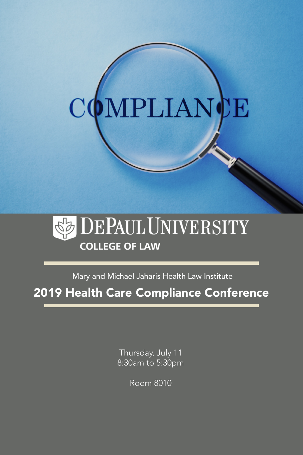# MPLIANCE  $\rm C$



Mary and Michael Jaharis Health Law Institute

2019 Health Care Compliance Conference

Thursday, July 11 8:30am to 5:30pm

Room 8010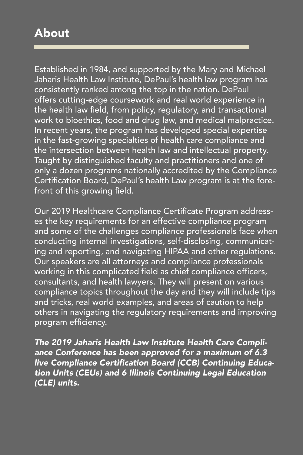# About

Established in 1984, and supported by the Mary and Michael Jaharis Health Law Institute, DePaul's health law program has consistently ranked among the top in the nation. DePaul offers cutting-edge coursework and real world experience in the health law field, from policy, regulatory, and transactional work to bioethics, food and drug law, and medical malpractice. In recent years, the program has developed special expertise in the fast-growing specialties of health care compliance and the intersection between health law and intellectual property. Taught by distinguished faculty and practitioners and one of only a dozen programs nationally accredited by the Compliance Certification Board, DePaul's health Law program is at the forefront of this growing field.

Our 2019 Healthcare Compliance Certificate Program addresses the key requirements for an effective compliance program and some of the challenges compliance professionals face when conducting internal investigations, self-disclosing, communicating and reporting, and navigating HIPAA and other regulations. Our speakers are all attorneys and compliance professionals working in this complicated field as chief compliance officers, consultants, and health lawyers. They will present on various compliance topics throughout the day and they will include tips and tricks, real world examples, and areas of caution to help others in navigating the regulatory requirements and improving program efficiency.

*The 2019 Jaharis Health Law Institute Health Care Compliance Conference has been approved for a maximum of 6.3*  live Compliance Certification Board (CCB) Continuing Education Units (CEUs) and 6 Illinois Continuing Legal Education (CLE) units.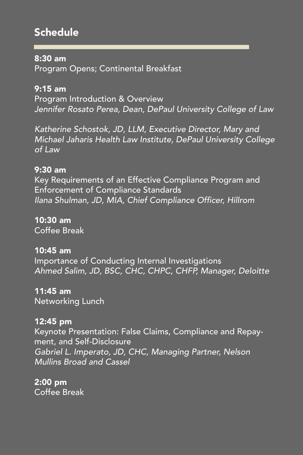# **Schedule**

#### 8:30 am

Program Opens; Continental Breakfast

## 9:15 am

Program Introduction & Overview *Jennifer Rosato Perea, Dean, DePaul University College of Law*

*Katherine Schostok, JD, LLM, Executive Director, Mary and Michael Jaharis Health Law Institute, DePaul University College of Law*

#### 9:30 am

Key Requirements of an Effective Compliance Program and Enforcement of Compliance Standards Ilana Shulman, JD, MIA, Chief Compliance Officer, Hillrom

#### 10:30 am

Coffee Break

### 10:45 am

Importance of Conducting Internal Investigations *Ahmed Salim, JD, BSC, CHC, CHPC, CHFP, Manager, Deloitte*

# 11:45 am

Networking Lunch

### 12:45 pm

Keynote Presentation: False Claims, Compliance and Repayment, and Self-Disclosure *Gabriel L. Imperato, JD, CHC, Managing Partner, Nelson Mullins Broad and Cassel*

## 2:00 pm

Coffee Break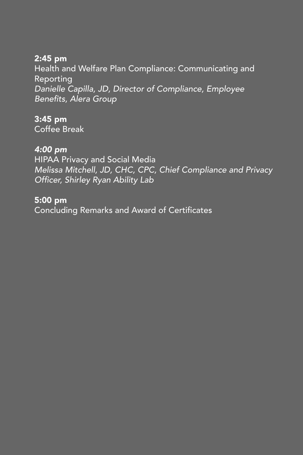#### 2:45 pm

Health and Welfare Plan Compliance: Communicating and Reporting *Danielle Capilla, JD, Director of Compliance, Employee*  Benefits, Alera Group

## 3:45 pm

Coffee Break

### *4:00 pm*

HIPAA Privacy and Social Media *Melissa Mitchell, JD, CHC, CPC, Chief Compliance and Privacy*  Officer, Shirley Ryan Ability Lab

#### 5:00 pm

Concluding Remarks and Award of Certificates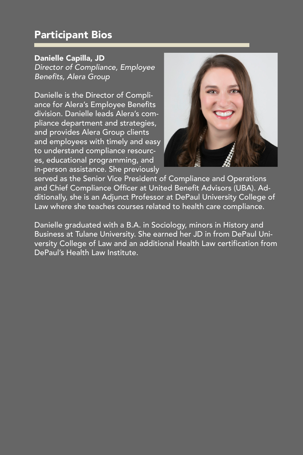# Participant Bios

#### Danielle Capilla, JD

*Director of Compliance, Employee*  Benefits, Alera Group

Danielle is the Director of Compliance for Alera's Employee Benefits division. Danielle leads Alera's compliance department and strategies, and provides Alera Group clients and employees with timely and easy to understand compliance resources, educational programming, and in-person assistance. She previously



served as the Senior Vice President of Compliance and Operations and Chief Compliance Officer at United Benefit Advisors (UBA). Additionally, she is an Adjunct Professor at DePaul University College of Law where she teaches courses related to health care compliance.

Danielle graduated with a B.A. in Sociology, minors in History and Business at Tulane University. She earned her JD in from DePaul University College of Law and an additional Health Law certification from DePaul's Health Law Institute.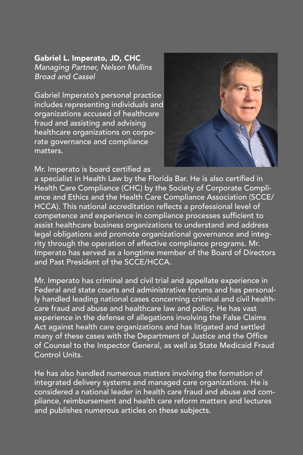Gabriel L. Imperato, JD, CHC *Managing Partner, Nelson Mullins Broad and Cassel*

Gabriel Imperato's personal practice includes representing individuals and organizations accused of healthcare fraud and assisting and advising healthcare organizations on corporate governance and compliance matters.

Mr. Imperato is board certified as



a specialist in Health Law by the Florida Bar. He is also certified in Health Care Compliance (CHC) by the Society of Corporate Compliance and Ethics and the Health Care Compliance Association (SCCE/ HCCA). This national accreditation reflects a professional level of competence and experience in compliance processes sufficient to assist healthcare business organizations to understand and address legal obligations and promote organizational governance and integrity through the operation of effective compliance programs. Mr. Imperato has served as a longtime member of the Board of Directors and Past President of the SCCE/HCCA.

Mr. Imperato has criminal and civil trial and appellate experience in Federal and state courts and administrative forums and has personally handled leading national cases concerning criminal and civil healthcare fraud and abuse and healthcare law and policy. He has vast experience in the defense of allegations involving the False Claims Act against health care organizations and has litigated and settled many of these cases with the Department of Justice and the Office of Counsel to the Inspector General, as well as State Medicaid Fraud Control Units.

He has also handled numerous matters involving the formation of integrated delivery systems and managed care organizations. He is considered a national leader in health care fraud and abuse and compliance, reimbursement and health care reform matters and lectures and publishes numerous articles on these subjects.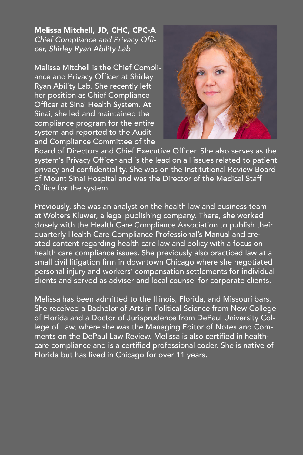Melissa Mitchell, JD, CHC, CPC-A Chief Compliance and Privacy Offi*cer, Shirley Ryan Ability Lab*

Melissa Mitchell is the Chief Compliance and Privacy Officer at Shirley Ryan Ability Lab. She recently left her position as Chief Compliance Officer at Sinai Health System. At Sinai, she led and maintained the compliance program for the entire system and reported to the Audit and Compliance Committee of the



Board of Directors and Chief Executive Officer. She also serves as the system's Privacy Officer and is the lead on all issues related to patient privacy and confidentiality. She was on the Institutional Review Board of Mount Sinai Hospital and was the Director of the Medical Staff Office for the system.

Previously, she was an analyst on the health law and business team at Wolters Kluwer, a legal publishing company. There, she worked closely with the Health Care Compliance Association to publish their quarterly Health Care Compliance Professional's Manual and created content regarding health care law and policy with a focus on health care compliance issues. She previously also practiced law at a small civil litigation firm in downtown Chicago where she negotiated personal injury and workers' compensation settlements for individual clients and served as adviser and local counsel for corporate clients.

Melissa has been admitted to the Illinois, Florida, and Missouri bars. She received a Bachelor of Arts in Political Science from New College of Florida and a Doctor of Jurisprudence from DePaul University College of Law, where she was the Managing Editor of Notes and Comments on the DePaul Law Review. Melissa is also certified in healthcare compliance and is a certified professional coder. She is native of Florida but has lived in Chicago for over 11 years.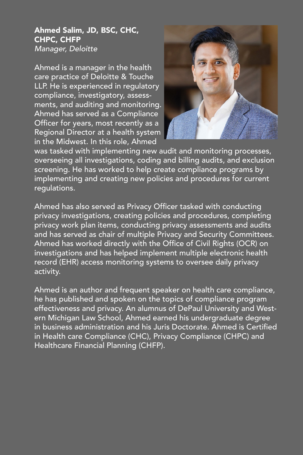#### Ahmed Salim, JD, BSC, CHC, CHPC, CHFP *Manager, Deloitte*

Ahmed is a manager in the health care practice of Deloitte & Touche LLP. He is experienced in regulatory compliance, investigatory, assessments, and auditing and monitoring. Ahmed has served as a Compliance Officer for years, most recently as a Regional Director at a health system in the Midwest. In this role, Ahmed



was tasked with implementing new audit and monitoring processes, overseeing all investigations, coding and billing audits, and exclusion screening. He has worked to help create compliance programs by implementing and creating new policies and procedures for current regulations.

Ahmed has also served as Privacy Officer tasked with conducting privacy investigations, creating policies and procedures, completing privacy work plan items, conducting privacy assessments and audits and has served as chair of multiple Privacy and Security Committees. Ahmed has worked directly with the Office of Civil Rights (OCR) on investigations and has helped implement multiple electronic health record (EHR) access monitoring systems to oversee daily privacy activity.

Ahmed is an author and frequent speaker on health care compliance, he has published and spoken on the topics of compliance program effectiveness and privacy. An alumnus of DePaul University and Western Michigan Law School, Ahmed earned his undergraduate degree in business administration and his Juris Doctorate. Ahmed is Certified in Health care Compliance (CHC), Privacy Compliance (CHPC) and Healthcare Financial Planning (CHFP).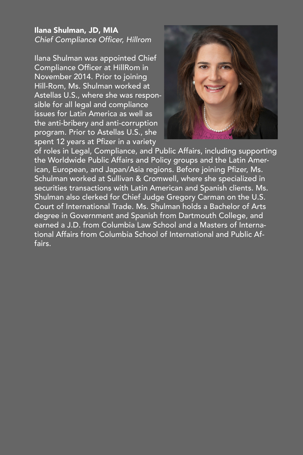#### Ilana Shulman, JD, MIA Chief Compliance Officer, Hillrom

Ilana Shulman was appointed Chief Compliance Officer at HillRom in November 2014. Prior to joining Hill-Rom, Ms. Shulman worked at Astellas U.S., where she was responsible for all legal and compliance issues for Latin America as well as the anti-bribery and anti-corruption program. Prior to Astellas U.S., she spent 12 years at Pfizer in a variety



of roles in Legal, Compliance, and Public Affairs, including supporting the Worldwide Public Affairs and Policy groups and the Latin American, European, and Japan/Asia regions. Before joining Pfizer, Ms. Schulman worked at Sullivan & Cromwell, where she specialized in securities transactions with Latin American and Spanish clients. Ms. Shulman also clerked for Chief Judge Gregory Carman on the U.S. Court of International Trade. Ms. Shulman holds a Bachelor of Arts degree in Government and Spanish from Dartmouth College, and earned a J.D. from Columbia Law School and a Masters of International Affairs from Columbia School of International and Public Affairs.